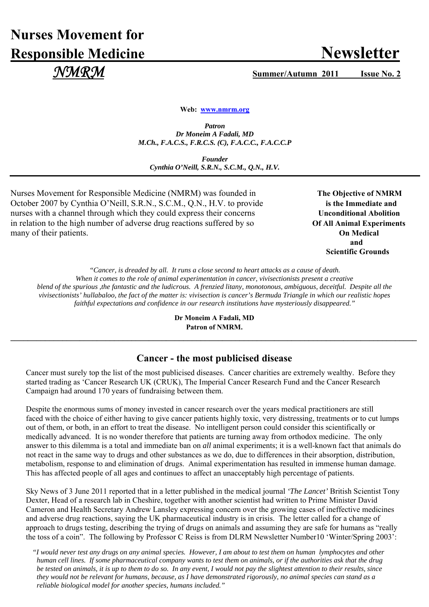# **Nurses Movement for Responsible Medicine Newsletter** Newsletter

**Summer/Autumn 2011** Issue No. 2

**Web: [www.nmrm.org](http://www.nmrm.org/)**

*Patron Dr Moneim A Fadali, MD M.Ch., F.A.C.S., F.R.C.S. (C), F.A.C.C., F.A.C.C.P* 

*Founder Cynthia O'Neill, S.R.N., S.C.M., Q.N., H.V.* 

Nurses Movement for Responsible Medicine (NMRM) was founded in The Objective of NMRM October 2007 by Cynthia O'Neill, S.R.N., S.C.M., Q.N., H.V. to provide **is the Immediate and** nurses with a channel through which they could express their concerns Unconditional Abolition in relation to the high number of adverse drug reactions suffered by so **Of All Animal Experiments** many of their patients. **On Medical**

 **and**  **Scientific Grounds** 

*"Cancer, is dreaded by all. It runs a close second to heart attacks as a cause of death. When it comes to the role of animal experimentation in cancer, vivisectionists present a creative blend of the spurious ,the fantastic and the ludicrous. A frenzied litany, monotonous, ambiguous, deceitful. Despite all the vivisectionists' hullabaloo, the fact of the matter is: vivisection is cancer's Bermuda Triangle in which our realistic hopes faithful expectations and confidence in our research institutions have mysteriously disappeared."*

**Dr Moneim A Fadali, MD Patron of NMRM. \_\_\_\_\_\_\_\_\_\_\_\_\_\_\_\_\_\_\_\_\_\_\_\_\_\_\_\_\_\_\_\_\_\_\_\_\_\_\_\_\_\_\_\_\_\_\_\_\_\_\_\_\_\_\_\_\_\_\_\_\_\_\_\_\_\_\_\_\_\_\_\_\_\_\_\_\_\_\_\_\_\_\_\_\_\_\_\_\_\_\_\_\_\_**

## **Cancer - the most publicised disease**

Cancer must surely top the list of the most publicised diseases. Cancer charities are extremely wealthy. Before they started trading as 'Cancer Research UK (CRUK), The Imperial Cancer Research Fund and the Cancer Research Campaign had around 170 years of fundraising between them.

Despite the enormous sums of money invested in cancer research over the years medical practitioners are still faced with the choice of either having to give cancer patients highly toxic, very distressing, treatments or to cut lumps out of them, or both, in an effort to treat the disease. No intelligent person could consider this scientifically or medically advanced. It is no wonder therefore that patients are turning away from orthodox medicine. The only answer to this dilemma is a total and immediate ban on *all* animal experiments; it is a well-known fact that animals do not react in the same way to drugs and other substances as we do, due to differences in their absorption, distribution, metabolism, response to and elimination of drugs. Animal experimentation has resulted in immense human damage. This has affected people of all ages and continues to affect an unacceptably high percentage of patients.

Sky News of 3 June 2011 reported that in a letter published in the medical journal *'The Lancet'* British Scientist Tony Dexter, Head of a research lab in Cheshire, together with another scientist had written to Prime Minister David Cameron and Health Secretary Andrew Lansley expressing concern over the growing cases of ineffective medicines and adverse drug reactions, saying the UK pharmaceutical industry is in crisis. The letter called for a change of approach to drugs testing, describing the trying of drugs on animals and assuming they are safe for humans as "really the toss of a coin". The following by Professor C Reiss is from DLRM Newsletter Number10 'Winter/Spring 2003':

 *"I would never test any drugs on any animal species. However, I am about to test them on human lymphocytes and other human cell lines. If some pharmaceutical company wants to test them on animals, or if the authorities ask that the drug be tested on animals, it is up to them to do so. In any event, I would not pay the slightest attention to their results, since they would not be relevant for humans, because, as I have demonstrated rigorously, no animal species can stand as a reliable biological model for another species, humans included."*